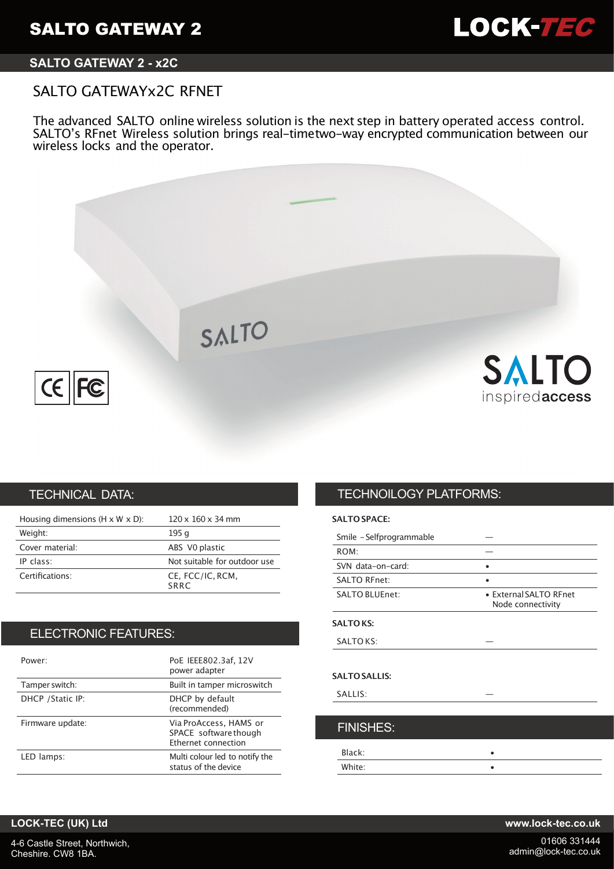

# **SALTO GATEWAY 2 - x2C**

# SALTO GATEWAYx2C RFNET

The advanced SALTO online wireless solution is the next step in battery operated access control. SALTO's RFnet Wireless solution brings real-timetwo-way encrypted communication between our wireless locks and the operator.



# TECHNICAL DATA:

| Housing dimensions ( $H \times W \times D$ ): | $120 \times 160 \times 34$ mm |
|-----------------------------------------------|-------------------------------|
| Weight:                                       | 195 g                         |
| Cover material:                               | ABS VO plastic                |
| IP class:                                     | Not suitable for outdoor use  |
| Certifications:                               | CE, FCC/IC, RCM,<br>SRRC      |

# ELECTRONIC FEATURES:

| Power:            | PoE IEEE802.3af, 12V<br>power adapter                                  |
|-------------------|------------------------------------------------------------------------|
| Tamper switch:    | Built in tamper microswitch                                            |
| DHCP / Static IP: | DHCP by default<br>(recommended)                                       |
| Firmware update:  | Via ProAccess, HAMS or<br>SPACE software though<br>Ethernet connection |
| LED lamps:        | Multi colour led to notify the<br>status of the device                 |

# TECHNOILOGY PLATFORMS:

## **SALTO SPACE:**

| Smile - Selfprogrammable |                                             |
|--------------------------|---------------------------------------------|
| ROM:                     |                                             |
| SVN data-on-card:        |                                             |
| <b>SALTO RFnet:</b>      |                                             |
| <b>SALTO BLUEnet:</b>    | • External SALTO RFnet<br>Node connectivity |
| <b>SALTOKS:</b>          |                                             |
| <b>SALTO KS:</b>         |                                             |
| <b>SALTO SALLIS:</b>     |                                             |
| SALLIS:                  |                                             |
|                          |                                             |
| <b>FINISHES:</b>         |                                             |
| Black:                   |                                             |
| White:                   |                                             |

## **LOCK-TEC (UK) Ltd www.lock-tec.co.uk**

4-6 Castle Street, Northwich, Cheshire. CW8 1BA.